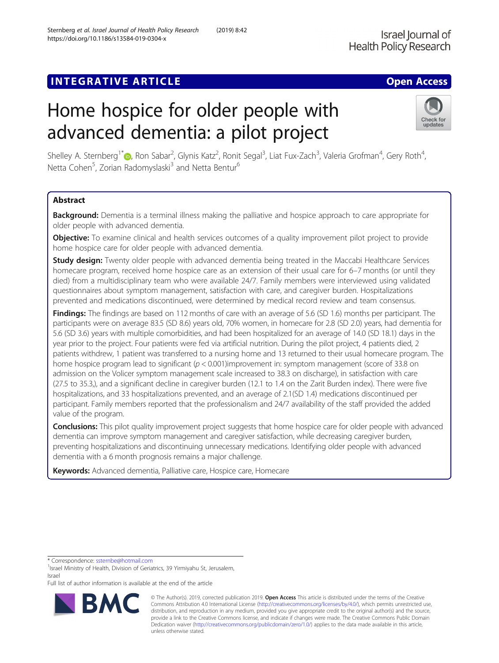## **INTEGRATIVE ARTICLE Example 20 and 20 and 20 and 20 and 20 and 20 and 20 and 20 and 20 and 20 and 20 and 20 and 20 and 20 and 20 and 20 and 20 and 20 and 20 and 20 and 20 and 20 and 20 and 20 and 20 and 20 and 20 and 20**

# Home hospice for older people with advanced dementia: a pilot project

Shelley A. Sternberg<sup>1\*</sup>D[,](http://orcid.org/0000-0002-0375-6319) Ron Sabar<sup>2</sup>, Glynis Katz<sup>2</sup>, Ronit Segal<sup>3</sup>, Liat Fux-Zach<sup>3</sup>, Valeria Grofman<sup>4</sup>, Gery Roth<sup>4</sup> , Netta Cohen<sup>5</sup>, Zorian Radomyslaski<sup>3</sup> and Netta Bentur<sup>6</sup>

## Abstract

Background: Dementia is a terminal illness making the palliative and hospice approach to care appropriate for older people with advanced dementia.

Objective: To examine clinical and health services outcomes of a quality improvement pilot project to provide home hospice care for older people with advanced dementia.

**Study design:** Twenty older people with advanced dementia being treated in the Maccabi Healthcare Services homecare program, received home hospice care as an extension of their usual care for 6–7 months (or until they died) from a multidisciplinary team who were available 24/7. Family members were interviewed using validated questionnaires about symptom management, satisfaction with care, and caregiver burden. Hospitalizations prevented and medications discontinued, were determined by medical record review and team consensus.

**Findings:** The findings are based on 112 months of care with an average of 5.6 (SD 1.6) months per participant. The participants were on average 83.5 (SD 8.6) years old, 70% women, in homecare for 2.8 (SD 2.0) years, had dementia for 5.6 (SD 3.6) years with multiple comorbidities, and had been hospitalized for an average of 14.0 (SD 18.1) days in the year prior to the project. Four patients were fed via artificial nutrition. During the pilot project, 4 patients died, 2 patients withdrew, 1 patient was transferred to a nursing home and 13 returned to their usual homecare program. The home hospice program lead to significant ( $p < 0.001$ )improvement in: symptom management (score of 33.8 on admission on the Volicer symptom management scale increased to 38.3 on discharge), in satisfaction with care (27.5 to 35.3,), and a significant decline in caregiver burden (12.1 to 1.4 on the Zarit Burden index). There were five hospitalizations, and 33 hospitalizations prevented, and an average of 2.1(SD 1.4) medications discontinued per participant. Family members reported that the professionalism and 24/7 availability of the staff provided the added value of the program.

**Conclusions:** This pilot quality improvement project suggests that home hospice care for older people with advanced dementia can improve symptom management and caregiver satisfaction, while decreasing caregiver burden, preventing hospitalizations and discontinuing unnecessary medications. Identifying older people with advanced dementia with a 6 month prognosis remains a major challenge.

Keywords: Advanced dementia, Palliative care, Hospice care, Homecare

<sup>1</sup> Israel Ministry of Health, Division of Geriatrics, 39 Yirmiyahu St, Jerusalem, Israel

Full list of author information is available at the end of the article

© The Author(s). 2019, corrected publication 2019. Open Access This article is distributed under the terms of the Creative Commons Attribution 4.0 International License ([http://creativecommons.org/licenses/by/4.0/\)](http://creativecommons.org/licenses/by/4.0/), which permits unrestricted use, distribution, and reproduction in any medium, provided you give appropriate credit to the original author(s) and the source, provide a link to the Creative Commons license, and indicate if changes were made. The Creative Commons Public Domain Dedication waiver [\(http://creativecommons.org/publicdomain/zero/1.0/](http://creativecommons.org/publicdomain/zero/1.0/)) applies to the data made available in this article, unless otherwise stated.

\* Correspondence: [ssternbe@hotmail.com](mailto:ssternbe@hotmail.com) <sup>1</sup>

Sternberg et al. Israel Journal of Health Policy Research (2019) 8:42 https://doi.org/10.1186/s13584-019-0304-x



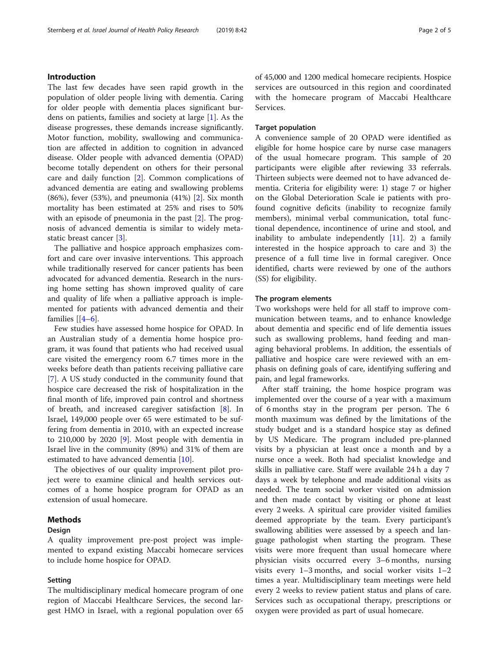The last few decades have seen rapid growth in the population of older people living with dementia. Caring for older people with dementia places significant burdens on patients, families and society at large [\[1](#page-4-0)]. As the disease progresses, these demands increase significantly. Motor function, mobility, swallowing and communication are affected in addition to cognition in advanced disease. Older people with advanced dementia (OPAD) become totally dependent on others for their personal care and daily function [\[2](#page-4-0)]. Common complications of advanced dementia are eating and swallowing problems (86%), fever (53%), and pneumonia  $(41%)$  [\[2](#page-4-0)]. Six month mortality has been estimated at 25% and rises to 50% with an episode of pneumonia in the past [\[2](#page-4-0)]. The prognosis of advanced dementia is similar to widely metastatic breast cancer [[3](#page-4-0)].

The palliative and hospice approach emphasizes comfort and care over invasive interventions. This approach while traditionally reserved for cancer patients has been advocated for advanced dementia. Research in the nursing home setting has shown improved quality of care and quality of life when a palliative approach is implemented for patients with advanced dementia and their families  $[4-6]$  $[4-6]$  $[4-6]$ .

Few studies have assessed home hospice for OPAD. In an Australian study of a dementia home hospice program, it was found that patients who had received usual care visited the emergency room 6.7 times more in the weeks before death than patients receiving palliative care [[7\]](#page-4-0). A US study conducted in the community found that hospice care decreased the risk of hospitalization in the final month of life, improved pain control and shortness of breath, and increased caregiver satisfaction [[8\]](#page-4-0). In Israel, 149,000 people over 65 were estimated to be suffering from dementia in 2010, with an expected increase to 210,000 by 2020 [[9](#page-4-0)]. Most people with dementia in Israel live in the community (89%) and 31% of them are estimated to have advanced dementia [\[10](#page-4-0)].

The objectives of our quality improvement pilot project were to examine clinical and health services outcomes of a home hospice program for OPAD as an extension of usual homecare.

#### Methods

#### Design

A quality improvement pre-post project was implemented to expand existing Maccabi homecare services to include home hospice for OPAD.

#### Setting

The multidisciplinary medical homecare program of one region of Maccabi Healthcare Services, the second largest HMO in Israel, with a regional population over 65 of 45,000 and 1200 medical homecare recipients. Hospice services are outsourced in this region and coordinated with the homecare program of Maccabi Healthcare Services.

#### Target population

A convenience sample of 20 OPAD were identified as eligible for home hospice care by nurse case managers of the usual homecare program. This sample of 20 participants were eligible after reviewing 33 referrals. Thirteen subjects were deemed not to have advanced dementia. Criteria for eligibility were: 1) stage 7 or higher on the Global Deterioration Scale ie patients with profound cognitive deficits (inability to recognize family members), minimal verbal communication, total functional dependence, incontinence of urine and stool, and inability to ambulate independently  $[11]$ . 2) a family interested in the hospice approach to care and 3) the presence of a full time live in formal caregiver. Once identified, charts were reviewed by one of the authors (SS) for eligibility.

#### The program elements

Two workshops were held for all staff to improve communication between teams, and to enhance knowledge about dementia and specific end of life dementia issues such as swallowing problems, hand feeding and managing behavioral problems. In addition, the essentials of palliative and hospice care were reviewed with an emphasis on defining goals of care, identifying suffering and pain, and legal frameworks.

After staff training, the home hospice program was implemented over the course of a year with a maximum of 6 months stay in the program per person. The 6 month maximum was defined by the limitations of the study budget and is a standard hospice stay as defined by US Medicare. The program included pre-planned visits by a physician at least once a month and by a nurse once a week. Both had specialist knowledge and skills in palliative care. Staff were available 24 h a day 7 days a week by telephone and made additional visits as needed. The team social worker visited on admission and then made contact by visiting or phone at least every 2 weeks. A spiritual care provider visited families deemed appropriate by the team. Every participant's swallowing abilities were assessed by a speech and language pathologist when starting the program. These visits were more frequent than usual homecare where physician visits occurred every 3–6 months, nursing visits every 1–3 months, and social worker visits 1–2 times a year. Multidisciplinary team meetings were held every 2 weeks to review patient status and plans of care. Services such as occupational therapy, prescriptions or oxygen were provided as part of usual homecare.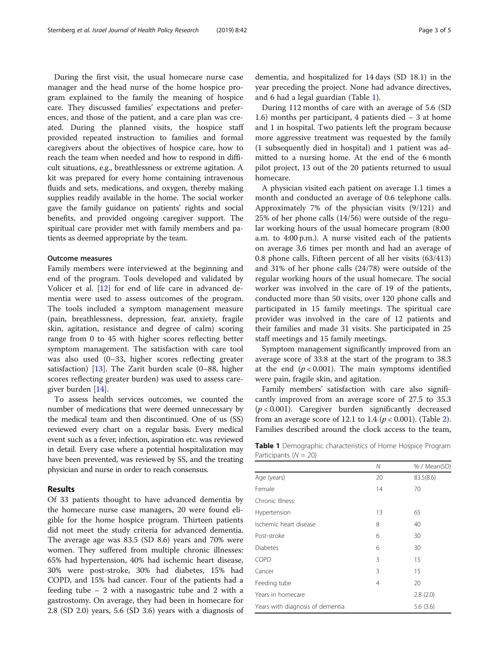During the first visit, the usual homecare nurse case manager and the head nurse of the home hospice program explained to the family the meaning of hospice care. They discussed families' expectations and preferences, and those of the patient, and a care plan was created. During the planned visits, the hospice staff provided repeated instruction to families and formal caregivers about the objectives of hospice care, how to reach the team when needed and how to respond in difficult situations, e.g., breathlessness or extreme agitation. A kit was prepared for every home containing intravenous fluids and sets, medications, and oxygen, thereby making supplies readily available in the home. The social worker gave the family guidance on patients' rights and social benefits, and provided ongoing caregiver support. The spiritual care provider met with family members and patients as deemed appropriate by the team.

#### Outcome measures

Family members were interviewed at the beginning and end of the program. Tools developed and validated by Volicer et al. [\[12](#page-4-0)] for end of life care in advanced dementia were used to assess outcomes of the program. The tools included a symptom management measure (pain, breathlessness, depression, fear, anxiety, fragile skin, agitation, resistance and degree of calm) scoring range from 0 to 45 with higher scores reflecting better symptom management. The satisfaction with care tool was also used (0–33, higher scores reflecting greater satisfaction)  $[13]$  $[13]$ . The Zarit burden scale (0–88, higher scores reflecting greater burden) was used to assess caregiver burden [[14\]](#page-4-0).

To assess health services outcomes, we counted the number of medications that were deemed unnecessary by the medical team and then discontinued. One of us (SS) reviewed every chart on a regular basis. Every medical event such as a fever, infection, aspiration etc. was reviewed in detail. Every case where a potential hospitalization may have been prevented, was reviewed by SS, and the treating physician and nurse in order to reach consensus.

#### Results

Of 33 patients thought to have advanced dementia by the homecare nurse case managers, 20 were found eligible for the home hospice program. Thirteen patients did not meet the study criteria for advanced dementia. The average age was 83.5 (SD 8.6) years and 70% were women. They suffered from multiple chronic illnesses: 65% had hypertension, 40% had ischemic heart disease, 30% were post-stroke, 30% had diabetes, 15% had COPD, and 15% had cancer. Four of the patients had a feeding tube – 2 with a nasogastric tube and 2 with a gastrostomy. On average, they had been in homecare for 2.8 (SD 2.0) years, 5.6 (SD 3.6) years with a diagnosis of dementia, and hospitalized for 14 days (SD 18.1) in the year preceding the project. None had advance directives, and 6 had a legal guardian (Table 1).

During 112 months of care with an average of 5.6 (SD 1.6) months per participant, 4 patients died – 3 at home and 1 in hospital. Two patients left the program because more aggressive treatment was requested by the family (1 subsequently died in hospital) and 1 patient was admitted to a nursing home. At the end of the 6 month pilot project, 13 out of the 20 patients returned to usual homecare.

A physician visited each patient on average 1.1 times a month and conducted an average of 0.6 telephone calls. Approximately 7% of the physician visits (9/121) and 25% of her phone calls (14/56) were outside of the regular working hours of the usual homecare program (8:00 a.m. to 4:00 p.m.). A nurse visited each of the patients on average 3.6 times per month and had an average of 0.8 phone calls. Fifteen percent of all her visits (63/413) and 31% of her phone calls (24/78) were outside of the regular working hours of the usual homecare. The social worker was involved in the care of 19 of the patients, conducted more than 50 visits, over 120 phone calls and participated in 15 family meetings. The spiritual care provider was involved in the care of 12 patients and their families and made 31 visits. She participated in 25 staff meetings and 15 family meetings.

Symptom management significantly improved from an average score of 33.8 at the start of the program to 38.3 at the end  $(p < 0.001)$ . The main symptoms identified were pain, fragile skin, and agitation.

Family members' satisfaction with care also significantly improved from an average score of 27.5 to 35.3  $(p < 0.001)$ . Caregiver burden significantly decreased from an average score of 1[2](#page-3-0).1 to 1.4 ( $p < 0.001$ ). (Table 2). Families described around the clock access to the team,

Table 1 Demographic characteristics of Home Hospice Program Participants ( $N = 20$ )

|                                  | Ν        | % / Mean(SD) |
|----------------------------------|----------|--------------|
| Age (years)                      | 20       | 83.5(8.6)    |
| Female                           | 14       | 70           |
| Chronic Illness:                 |          |              |
| Hypertension                     | 13       | 65           |
| Ischemic heart disease           | 8        | 40           |
| Post-stroke                      | 6        | 30           |
| <b>Diabetes</b>                  | 6        | 30           |
| <b>COPD</b>                      | 3        | 15           |
| Cancer                           | 3        | 15           |
| Feeding tube                     | 4        | 20           |
| Years in homecare                |          | 2.8(2.0)     |
| Years with diagnosis of dementia | 5.6(3.6) |              |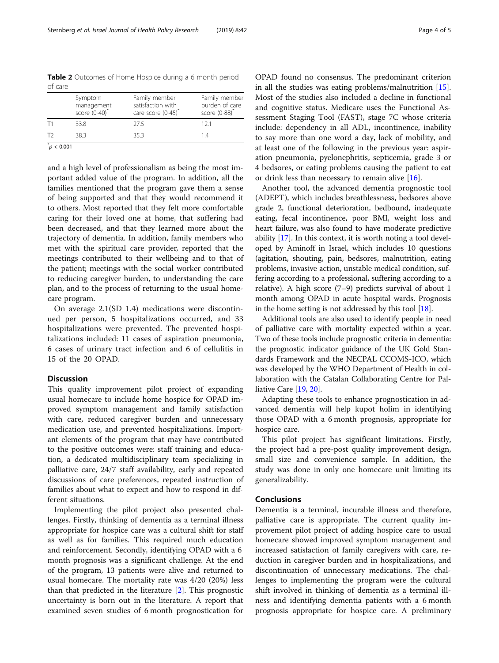<span id="page-3-0"></span>Table 2 Outcomes of Home Hospice during a 6 month period of care

|    | Symptom<br>management<br>score (0-40)* | Family member<br>satisfaction with<br>care score (0-45) | Family member<br>burden of care<br>score $(0-88)^*$ |
|----|----------------------------------------|---------------------------------------------------------|-----------------------------------------------------|
|    | 33.8                                   | 275                                                     | 121                                                 |
| エフ | 383                                    | 353                                                     | 14                                                  |
|    |                                        |                                                         |                                                     |

 $p^*$  < 0.001

and a high level of professionalism as being the most important added value of the program. In addition, all the families mentioned that the program gave them a sense of being supported and that they would recommend it to others. Most reported that they felt more comfortable caring for their loved one at home, that suffering had been decreased, and that they learned more about the trajectory of dementia. In addition, family members who met with the spiritual care provider, reported that the meetings contributed to their wellbeing and to that of the patient; meetings with the social worker contributed to reducing caregiver burden, to understanding the care plan, and to the process of returning to the usual homecare program.

On average 2.1(SD 1.4) medications were discontinued per person, 5 hospitalizations occurred, and 33 hospitalizations were prevented. The prevented hospitalizations included: 11 cases of aspiration pneumonia, 6 cases of urinary tract infection and 6 of cellulitis in 15 of the 20 OPAD.

### Discussion

This quality improvement pilot project of expanding usual homecare to include home hospice for OPAD improved symptom management and family satisfaction with care, reduced caregiver burden and unnecessary medication use, and prevented hospitalizations. Important elements of the program that may have contributed to the positive outcomes were: staff training and education, a dedicated multidisciplinary team specializing in palliative care, 24/7 staff availability, early and repeated discussions of care preferences, repeated instruction of families about what to expect and how to respond in different situations.

Implementing the pilot project also presented challenges. Firstly, thinking of dementia as a terminal illness appropriate for hospice care was a cultural shift for staff as well as for families. This required much education and reinforcement. Secondly, identifying OPAD with a 6 month prognosis was a significant challenge. At the end of the program, 13 patients were alive and returned to usual homecare. The mortality rate was 4/20 (20%) less than that predicted in the literature [[2\]](#page-4-0). This prognostic uncertainty is born out in the literature. A report that examined seven studies of 6 month prognostication for

OPAD found no consensus. The predominant criterion in all the studies was eating problems/malnutrition [\[15](#page-4-0)]. Most of the studies also included a decline in functional and cognitive status. Medicare uses the Functional Assessment Staging Tool (FAST), stage 7C whose criteria include: dependency in all ADL, incontinence, inability to say more than one word a day, lack of mobility, and at least one of the following in the previous year: aspiration pneumonia, pyelonephritis, septicemia, grade 3 or 4 bedsores, or eating problems causing the patient to eat or drink less than necessary to remain alive [[16\]](#page-4-0).

Another tool, the advanced dementia prognostic tool (ADEPT), which includes breathlessness, bedsores above grade 2, functional deterioration, bedbound, inadequate eating, fecal incontinence, poor BMI, weight loss and heart failure, was also found to have moderate predictive ability [[17](#page-4-0)]. In this context, it is worth noting a tool developed by Aminoff in Israel, which includes 10 questions (agitation, shouting, pain, bedsores, malnutrition, eating problems, invasive action, unstable medical condition, suffering according to a professional, suffering according to a relative). A high score (7–9) predicts survival of about 1 month among OPAD in acute hospital wards. Prognosis in the home setting is not addressed by this tool [\[18\]](#page-4-0).

Additional tools are also used to identify people in need of palliative care with mortality expected within a year. Two of these tools include prognostic criteria in dementia: the prognostic indicator guidance of the UK Gold Standards Framework and the NECPAL CCOMS-ICO, which was developed by the WHO Department of Health in collaboration with the Catalan Collaborating Centre for Palliative Care [\[19,](#page-4-0) [20](#page-4-0)].

Adapting these tools to enhance prognostication in advanced dementia will help kupot holim in identifying those OPAD with a 6 month prognosis, appropriate for hospice care.

This pilot project has significant limitations. Firstly, the project had a pre-post quality improvement design, small size and convenience sample. In addition, the study was done in only one homecare unit limiting its generalizability.

#### Conclusions

Dementia is a terminal, incurable illness and therefore, palliative care is appropriate. The current quality improvement pilot project of adding hospice care to usual homecare showed improved symptom management and increased satisfaction of family caregivers with care, reduction in caregiver burden and in hospitalizations, and discontinuation of unnecessary medications. The challenges to implementing the program were the cultural shift involved in thinking of dementia as a terminal illness and identifying dementia patients with a 6 month prognosis appropriate for hospice care. A preliminary